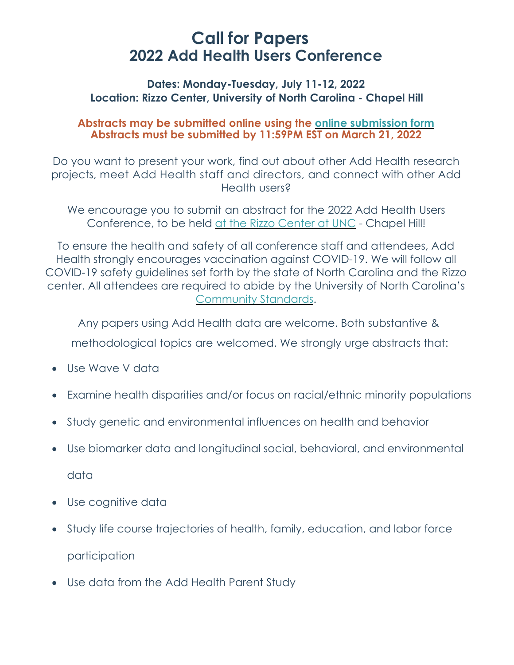# **Call for Papers 2022 Add Health Users Conference**

## **Dates: Monday-Tuesday, July 11-12, 2022 Location: Rizzo Center, University of North Carolina - Chapel Hill**

## **Abstracts may be submitted online using the online [submission](https://unc.az1.qualtrics.com/jfe/form/SV_7a21rGjntySWJhQ) form Abstracts must be submitted by 11:59PM EST on March 21, 2022**

Do you want to present your work, find out about other Add Health research projects, meet Add Health staff and directors, and connect with other Add Health users?

We encourage you to submit an abstract for the 2022 Add Health Users Conference, to be held at the Rizzo [Center](https://www.destinationhotels.com/rizzo-conference-center) at UNC - Chapel Hill!

To ensure the health and safety of all conference staff and attendees, Add Health strongly encourages vaccination against COVID-19. We will follow all COVID-19 safety guidelines set forth by the state of North Carolina and the Rizzo center. All attendees are required to abide by the University of North Carolina's [Community](https://carolinatogether.unc.edu/community-standards/) Standards.

Any papers using Add Health data are welcome. Both substantive & methodological topics are welcomed. We strongly urge abstracts that:

- Use Wave V data
- Examine health disparities and/or focus on racial/ethnic minority populations
- Study genetic and environmental influences on health and behavior
- Use biomarker data and longitudinal social, behavioral, and environmental data
- Use cognitive data
- Study life course trajectories of health, family, education, and labor force participation
- Use data from the Add Health Parent Study